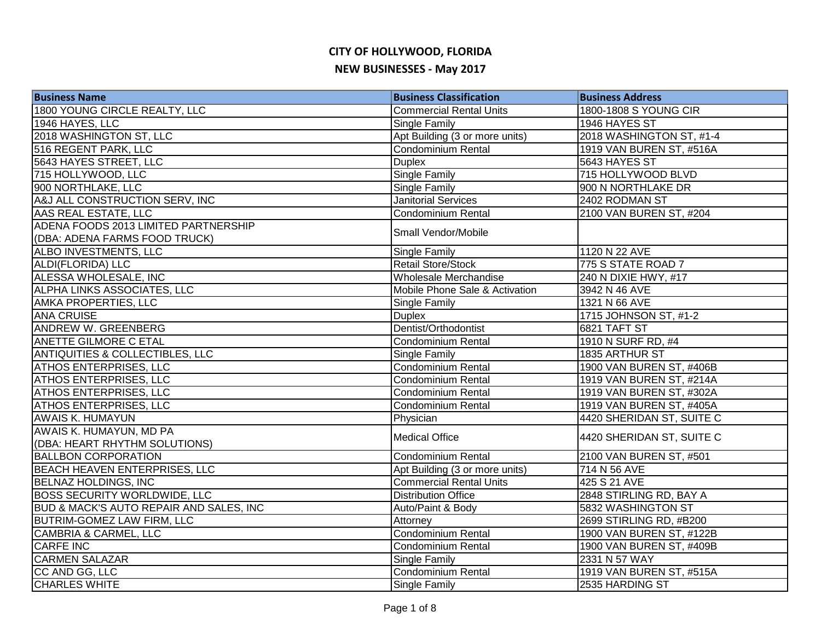| <b>Business Name</b>                       | <b>Business Classification</b> | <b>Business Address</b>   |
|--------------------------------------------|--------------------------------|---------------------------|
| 1800 YOUNG CIRCLE REALTY, LLC              | <b>Commercial Rental Units</b> | 1800-1808 S YOUNG CIR     |
| 1946 HAYES, LLC                            | Single Family                  | 1946 HAYES ST             |
| 2018 WASHINGTON ST, LLC                    | Apt Building (3 or more units) | 2018 WASHINGTON ST, #1-4  |
| 516 REGENT PARK, LLC                       | <b>Condominium Rental</b>      | 1919 VAN BUREN ST, #516A  |
| 5643 HAYES STREET, LLC                     | <b>Duplex</b>                  | 5643 HAYES ST             |
| 715 HOLLYWOOD, LLC                         | Single Family                  | 715 HOLLYWOOD BLVD        |
| 900 NORTHLAKE, LLC                         | Single Family                  | 900 N NORTHLAKE DR        |
| A&J ALL CONSTRUCTION SERV, INC             | <b>Janitorial Services</b>     | 2402 RODMAN ST            |
| AAS REAL ESTATE, LLC                       | <b>Condominium Rental</b>      | 2100 VAN BUREN ST, #204   |
| ADENA FOODS 2013 LIMITED PARTNERSHIP       |                                |                           |
| (DBA: ADENA FARMS FOOD TRUCK)              | Small Vendor/Mobile            |                           |
| ALBO INVESTMENTS, LLC                      | Single Family                  | 1120 N 22 AVE             |
| ALDI(FLORIDA) LLC                          | <b>Retail Store/Stock</b>      | 775 S STATE ROAD 7        |
| ALESSA WHOLESALE, INC                      | Wholesale Merchandise          | 240 N DIXIE HWY, #17      |
| ALPHA LINKS ASSOCIATES, LLC                | Mobile Phone Sale & Activation | 3942 N 46 AVE             |
| <b>AMKA PROPERTIES, LLC</b>                | Single Family                  | 1321 N 66 AVE             |
| <b>ANA CRUISE</b>                          | <b>Duplex</b>                  | 1715 JOHNSON ST, #1-2     |
| <b>ANDREW W. GREENBERG</b>                 | Dentist/Orthodontist           | 6821 TAFT ST              |
| <b>ANETTE GILMORE C ETAL</b>               | <b>Condominium Rental</b>      | 1910 N SURF RD, #4        |
| <b>ANTIQUITIES &amp; COLLECTIBLES, LLC</b> | Single Family                  | 1835 ARTHUR ST            |
| <b>ATHOS ENTERPRISES, LLC</b>              | <b>Condominium Rental</b>      | 1900 VAN BUREN ST, #406B  |
| <b>ATHOS ENTERPRISES, LLC</b>              | <b>Condominium Rental</b>      | 1919 VAN BUREN ST, #214A  |
| <b>ATHOS ENTERPRISES, LLC</b>              | Condominium Rental             | 1919 VAN BUREN ST, #302A  |
| <b>ATHOS ENTERPRISES, LLC</b>              | <b>Condominium Rental</b>      | 1919 VAN BUREN ST, #405A  |
| <b>AWAIS K. HUMAYUN</b>                    | Physician                      | 4420 SHERIDAN ST, SUITE C |
| AWAIS K. HUMAYUN, MD PA                    | <b>Medical Office</b>          | 4420 SHERIDAN ST, SUITE C |
| (DBA: HEART RHYTHM SOLUTIONS)              |                                |                           |
| <b>BALLBON CORPORATION</b>                 | Condominium Rental             | 2100 VAN BUREN ST, #501   |
| BEACH HEAVEN ENTERPRISES, LLC              | Apt Building (3 or more units) | 714 N 56 AVE              |
| <b>BELNAZ HOLDINGS, INC</b>                | <b>Commercial Rental Units</b> | 425 S 21 AVE              |
| <b>BOSS SECURITY WORLDWIDE, LLC</b>        | <b>Distribution Office</b>     | 2848 STIRLING RD, BAY A   |
| BUD & MACK'S AUTO REPAIR AND SALES, INC    | Auto/Paint & Body              | 5832 WASHINGTON ST        |
| <b>BUTRIM-GOMEZ LAW FIRM, LLC</b>          | Attorney                       | 2699 STIRLING RD, #B200   |
| CAMBRIA & CARMEL, LLC                      | Condominium Rental             | 1900 VAN BUREN ST, #122B  |
| <b>CARFE INC</b>                           | Condominium Rental             | 1900 VAN BUREN ST, #409B  |
| <b>CARMEN SALAZAR</b>                      | <b>Single Family</b>           | 2331 N 57 WAY             |
| CC AND GG, LLC                             | Condominium Rental             | 1919 VAN BUREN ST, #515A  |
| <b>CHARLES WHITE</b>                       | Single Family                  | 2535 HARDING ST           |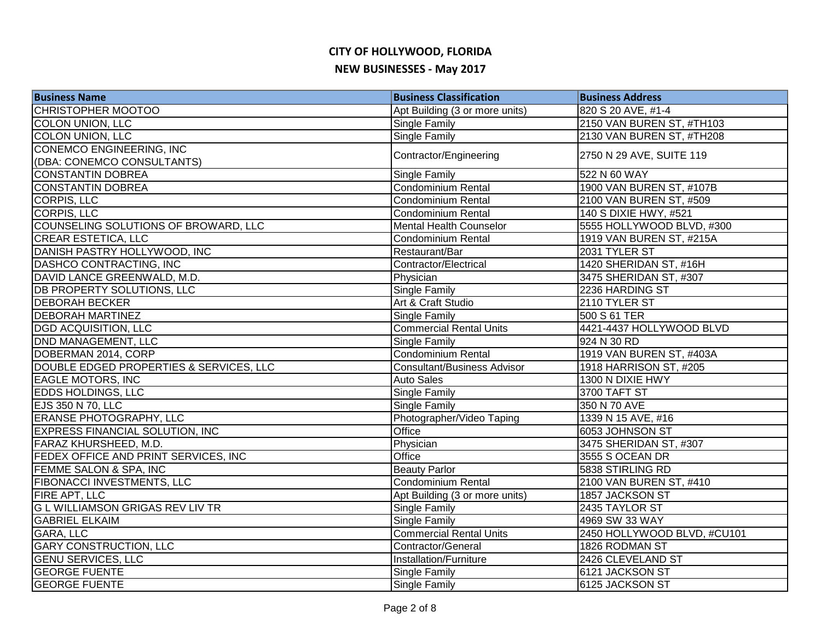| <b>Business Name</b>                    | <b>Business Classification</b>     | <b>Business Address</b>     |
|-----------------------------------------|------------------------------------|-----------------------------|
| <b>CHRISTOPHER MOOTOO</b>               | Apt Building (3 or more units)     | 820 S 20 AVE, #1-4          |
| <b>COLON UNION, LLC</b>                 | Single Family                      | 2150 VAN BUREN ST, #TH103   |
| <b>COLON UNION, LLC</b>                 | Single Family                      | 2130 VAN BUREN ST, #TH208   |
| <b>CONEMCO ENGINEERING, INC</b>         | Contractor/Engineering             | 2750 N 29 AVE, SUITE 119    |
| (DBA: CONEMCO CONSULTANTS)              |                                    |                             |
| <b>CONSTANTIN DOBREA</b>                | Single Family                      | 522 N 60 WAY                |
| <b>CONSTANTIN DOBREA</b>                | Condominium Rental                 | 1900 VAN BUREN ST, #107B    |
| <b>CORPIS, LLC</b>                      | Condominium Rental                 | 2100 VAN BUREN ST, #509     |
| <b>CORPIS, LLC</b>                      | Condominium Rental                 | 140 S DIXIE HWY, #521       |
| COUNSELING SOLUTIONS OF BROWARD, LLC    | Mental Health Counselor            | 5555 HOLLYWOOD BLVD, #300   |
| <b>CREAR ESTETICA, LLC</b>              | <b>Condominium Rental</b>          | 1919 VAN BUREN ST, #215A    |
| DANISH PASTRY HOLLYWOOD, INC            | Restaurant/Bar                     | 2031 TYLER ST               |
| DASHCO CONTRACTING, INC                 | Contractor/Electrical              | 1420 SHERIDAN ST, #16H      |
| DAVID LANCE GREENWALD, M.D.             | Physician                          | 3475 SHERIDAN ST, #307      |
| <b>DB PROPERTY SOLUTIONS, LLC</b>       | Single Family                      | 2236 HARDING ST             |
| <b>DEBORAH BECKER</b>                   | Art & Craft Studio                 | 2110 TYLER ST               |
| <b>DEBORAH MARTINEZ</b>                 | Single Family                      | 500 S 61 TER                |
| <b>DGD ACQUISITION, LLC</b>             | <b>Commercial Rental Units</b>     | 4421-4437 HOLLYWOOD BLVD    |
| DND MANAGEMENT, LLC                     | Single Family                      | 924 N 30 RD                 |
| DOBERMAN 2014, CORP                     | <b>Condominium Rental</b>          | 1919 VAN BUREN ST, #403A    |
| DOUBLE EDGED PROPERTIES & SERVICES, LLC | <b>Consultant/Business Advisor</b> | 1918 HARRISON ST, #205      |
| <b>EAGLE MOTORS, INC</b>                | <b>Auto Sales</b>                  | 1300 N DIXIE HWY            |
| <b>EDDS HOLDINGS, LLC</b>               | Single Family                      | 3700 TAFT ST                |
| EJS 350 N 70, LLC                       | Single Family                      | 350 N 70 AVE                |
| <b>ERANSE PHOTOGRAPHY, LLC</b>          | Photographer/Video Taping          | 1339 N 15 AVE, #16          |
| <b>EXPRESS FINANCIAL SOLUTION, INC</b>  | Office                             | 6053 JOHNSON ST             |
| <b>FARAZ KHURSHEED, M.D.</b>            | Physician                          | 3475 SHERIDAN ST, #307      |
| FEDEX OFFICE AND PRINT SERVICES, INC    | Office                             | 3555 S OCEAN DR             |
| FEMME SALON & SPA, INC                  | <b>Beauty Parlor</b>               | 5838 STIRLING RD            |
| FIBONACCI INVESTMENTS, LLC              | Condominium Rental                 | 2100 VAN BUREN ST, #410     |
| FIRE APT, LLC                           | Apt Building (3 or more units)     | 1857 JACKSON ST             |
| <b>GLWILLIAMSON GRIGAS REV LIV TR</b>   | Single Family                      | 2435 TAYLOR ST              |
| <b>GABRIEL ELKAIM</b>                   | Single Family                      | 4969 SW 33 WAY              |
| GARA, LLC                               | <b>Commercial Rental Units</b>     | 2450 HOLLYWOOD BLVD, #CU101 |
| <b>GARY CONSTRUCTION, LLC</b>           | Contractor/General                 | 1826 RODMAN ST              |
| <b>GENU SERVICES, LLC</b>               | Installation/Furniture             | 2426 CLEVELAND ST           |
| <b>GEORGE FUENTE</b>                    | Single Family                      | 6121 JACKSON ST             |
| <b>GEORGE FUENTE</b>                    | Single Family                      | 6125 JACKSON ST             |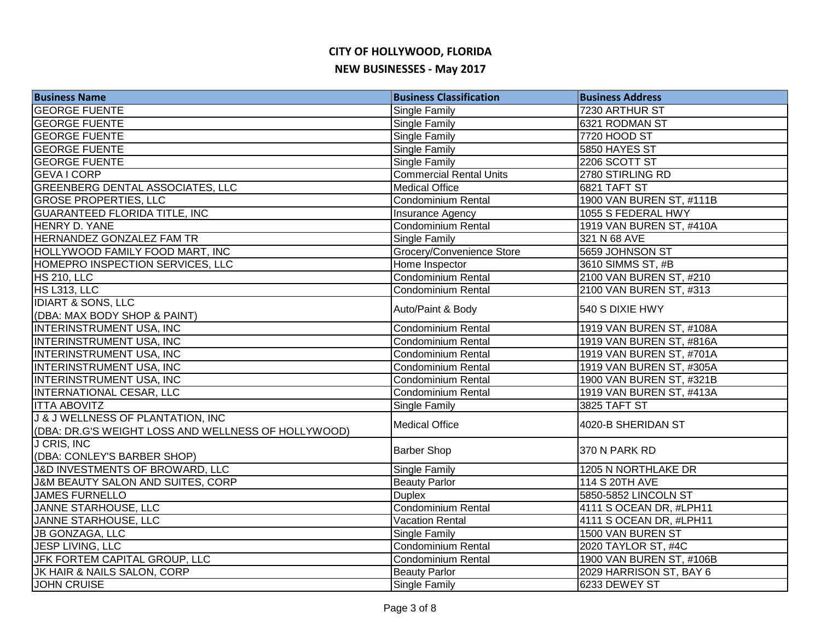| <b>Business Name</b>                                | <b>Business Classification</b> | <b>Business Address</b>  |
|-----------------------------------------------------|--------------------------------|--------------------------|
| <b>GEORGE FUENTE</b>                                | Single Family                  | 7230 ARTHUR ST           |
| <b>GEORGE FUENTE</b>                                | Single Family                  | 6321 RODMAN ST           |
| <b>GEORGE FUENTE</b>                                | <b>Single Family</b>           | 7720 HOOD ST             |
| <b>GEORGE FUENTE</b>                                | <b>Single Family</b>           | 5850 HAYES ST            |
| <b>GEORGE FUENTE</b>                                | Single Family                  | 2206 SCOTT ST            |
| <b>GEVA I CORP</b>                                  | <b>Commercial Rental Units</b> | 2780 STIRLING RD         |
| <b>GREENBERG DENTAL ASSOCIATES, LLC</b>             | <b>Medical Office</b>          | <b>6821 TAFT ST</b>      |
| <b>GROSE PROPERTIES, LLC</b>                        | Condominium Rental             | 1900 VAN BUREN ST, #111B |
| GUARANTEED FLORIDA TITLE, INC                       | Insurance Agency               | 1055 S FEDERAL HWY       |
| HENRY D. YANE                                       | <b>Condominium Rental</b>      | 1919 VAN BUREN ST, #410A |
| HERNANDEZ GONZALEZ FAM TR                           | <b>Single Family</b>           | 321 N 68 AVE             |
| HOLLYWOOD FAMILY FOOD MART, INC                     | Grocery/Convenience Store      | 5659 JOHNSON ST          |
| HOMEPRO INSPECTION SERVICES, LLC                    | Home Inspector                 | 3610 SIMMS ST, #B        |
| <b>HS 210, LLC</b>                                  | Condominium Rental             | 2100 VAN BUREN ST, #210  |
| HS L313, LLC                                        | Condominium Rental             | 2100 VAN BUREN ST, #313  |
| <b>IDIART &amp; SONS, LLC</b>                       | Auto/Paint & Body              | 540 S DIXIE HWY          |
| (DBA: MAX BODY SHOP & PAINT)                        |                                |                          |
| <b>INTERINSTRUMENT USA, INC</b>                     | Condominium Rental             | 1919 VAN BUREN ST, #108A |
| INTERINSTRUMENT USA, INC                            | <b>Condominium Rental</b>      | 1919 VAN BUREN ST, #816A |
| <b>INTERINSTRUMENT USA, INC</b>                     | <b>Condominium Rental</b>      | 1919 VAN BUREN ST, #701A |
| INTERINSTRUMENT USA, INC                            | <b>Condominium Rental</b>      | 1919 VAN BUREN ST, #305A |
| <b>INTERINSTRUMENT USA, INC</b>                     | <b>Condominium Rental</b>      | 1900 VAN BUREN ST, #321B |
| <b>INTERNATIONAL CESAR, LLC</b>                     | Condominium Rental             | 1919 VAN BUREN ST, #413A |
| <b>ITTA ABOVITZ</b>                                 | Single Family                  | 3825 TAFT ST             |
| J & J WELLNESS OF PLANTATION, INC                   | <b>Medical Office</b>          | 4020-B SHERIDAN ST       |
| (DBA: DR.G'S WEIGHT LOSS AND WELLNESS OF HOLLYWOOD) |                                |                          |
| J CRIS, INC                                         | <b>Barber Shop</b>             | 370 N PARK RD            |
| (DBA: CONLEY'S BARBER SHOP)                         |                                |                          |
| J&D INVESTMENTS OF BROWARD, LLC                     | Single Family                  | 1205 N NORTHLAKE DR      |
| J&M BEAUTY SALON AND SUITES, CORP                   | <b>Beauty Parlor</b>           | 114 S 20TH AVE           |
| <b>JAMES FURNELLO</b>                               | <b>Duplex</b>                  | 5850-5852 LINCOLN ST     |
| JANNE STARHOUSE, LLC                                | <b>Condominium Rental</b>      | 4111 S OCEAN DR, #LPH11  |
| JANNE STARHOUSE, LLC                                | <b>Vacation Rental</b>         | 4111 S OCEAN DR, #LPH11  |
| <b>JB GONZAGA, LLC</b>                              | Single Family                  | 1500 VAN BUREN ST        |
| JESP LIVING, LLC                                    | Condominium Rental             | 2020 TAYLOR ST, #4C      |
| JFK FORTEM CAPITAL GROUP, LLC                       | Condominium Rental             | 1900 VAN BUREN ST, #106B |
| JK HAIR & NAILS SALON, CORP                         | <b>Beauty Parlor</b>           | 2029 HARRISON ST, BAY 6  |
| <b>JOHN CRUISE</b>                                  | Single Family                  | 6233 DEWEY ST            |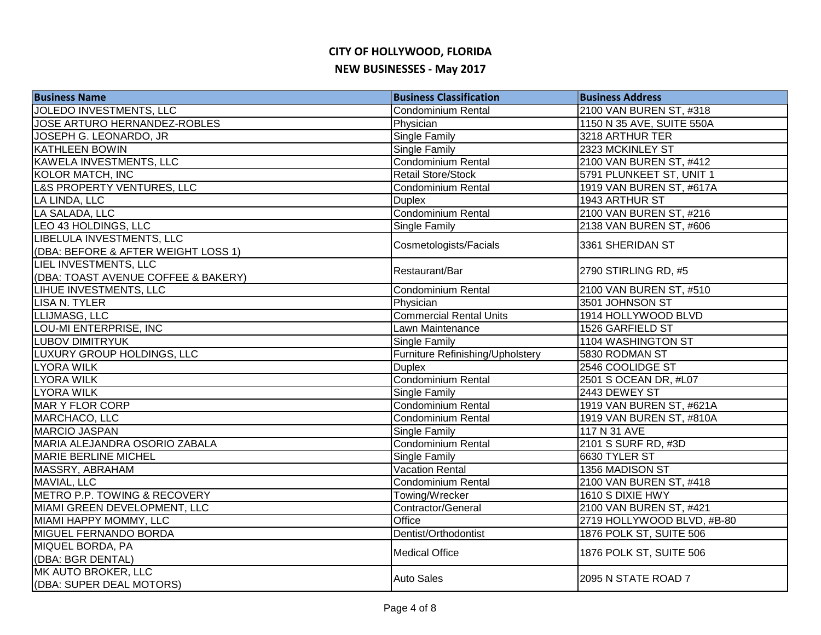| <b>Business Name</b>                                             | <b>Business Classification</b>   | <b>Business Address</b>    |
|------------------------------------------------------------------|----------------------------------|----------------------------|
| JOLEDO INVESTMENTS, LLC                                          | <b>Condominium Rental</b>        | 2100 VAN BUREN ST, #318    |
| JOSE ARTURO HERNANDEZ-ROBLES                                     | Physician                        | 1150 N 35 AVE, SUITE 550A  |
| JOSEPH G. LEONARDO, JR                                           | <b>Single Family</b>             | 3218 ARTHUR TER            |
| <b>KATHLEEN BOWIN</b>                                            | <b>Single Family</b>             | 2323 MCKINLEY ST           |
| KAWELA INVESTMENTS, LLC                                          | Condominium Rental               | 2100 VAN BUREN ST, #412    |
| <b>KOLOR MATCH, INC</b>                                          | Retail Store/Stock               | 5791 PLUNKEET ST, UNIT 1   |
| L&S PROPERTY VENTURES, LLC                                       | Condominium Rental               | 1919 VAN BUREN ST, #617A   |
| LA LINDA, LLC                                                    | <b>Duplex</b>                    | 1943 ARTHUR ST             |
| LA SALADA, LLC                                                   | Condominium Rental               | 2100 VAN BUREN ST, #216    |
| LEO 43 HOLDINGS, LLC                                             | Single Family                    | 2138 VAN BUREN ST, #606    |
| LIBELULA INVESTMENTS, LLC<br>(DBA: BEFORE & AFTER WEIGHT LOSS 1) | Cosmetologists/Facials           | 3361 SHERIDAN ST           |
| LIEL INVESTMENTS, LLC<br>(DBA: TOAST AVENUE COFFEE & BAKERY)     | Restaurant/Bar                   | 2790 STIRLING RD, #5       |
| LIHUE INVESTMENTS, LLC                                           | <b>Condominium Rental</b>        | 2100 VAN BUREN ST, #510    |
| <b>LISA N. TYLER</b>                                             | Physician                        | 3501 JOHNSON ST            |
| LLIJMASG, LLC                                                    | <b>Commercial Rental Units</b>   | 1914 HOLLYWOOD BLVD        |
| <b>LOU-MI ENTERPRISE, INC</b>                                    | Lawn Maintenance                 | <b>1526 GARFIELD ST</b>    |
| <b>LUBOV DIMITRYUK</b>                                           | Single Family                    | 1104 WASHINGTON ST         |
| LUXURY GROUP HOLDINGS, LLC                                       | Furniture Refinishing/Upholstery | 5830 RODMAN ST             |
| LYORA WILK                                                       | <b>Duplex</b>                    | 2546 COOLIDGE ST           |
| <b>LYORA WILK</b>                                                | <b>Condominium Rental</b>        | 2501 S OCEAN DR, #L07      |
| <b>LYORA WILK</b>                                                | Single Family                    | 2443 DEWEY ST              |
| MAR Y FLOR CORP                                                  | <b>Condominium Rental</b>        | 1919 VAN BUREN ST, #621A   |
| MARCHACO, LLC                                                    | <b>Condominium Rental</b>        | 1919 VAN BUREN ST, #810A   |
| <b>MARCIO JASPAN</b>                                             | <b>Single Family</b>             | 117 N 31 AVE               |
| MARIA ALEJANDRA OSORIO ZABALA                                    | <b>Condominium Rental</b>        | 2101 S SURF RD, #3D        |
| <b>MARIE BERLINE MICHEL</b>                                      | <b>Single Family</b>             | 6630 TYLER ST              |
| <b>MASSRY, ABRAHAM</b>                                           | <b>Vacation Rental</b>           | 1356 MADISON ST            |
| MAVIAL, LLC                                                      | Condominium Rental               | 2100 VAN BUREN ST, #418    |
| METRO P.P. TOWING & RECOVERY                                     | Towing/Wrecker                   | 1610 S DIXIE HWY           |
| MIAMI GREEN DEVELOPMENT, LLC                                     | Contractor/General               | 2100 VAN BUREN ST, #421    |
| MIAMI HAPPY MOMMY, LLC                                           | Office                           | 2719 HOLLYWOOD BLVD, #B-80 |
| MIGUEL FERNANDO BORDA                                            | Dentist/Orthodontist             | 1876 POLK ST, SUITE 506    |
| MIQUEL BORDA, PA<br>(DBA: BGR DENTAL)                            | <b>Medical Office</b>            | 1876 POLK ST, SUITE 506    |
| MK AUTO BROKER, LLC<br>(DBA: SUPER DEAL MOTORS)                  | <b>Auto Sales</b>                | 2095 N STATE ROAD 7        |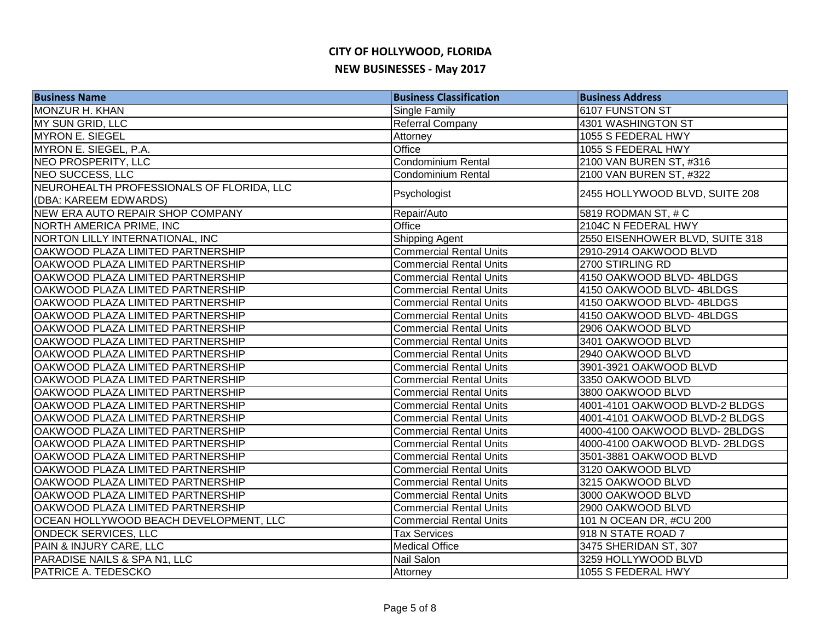| <b>Business Name</b>                      | <b>Business Classification</b> | <b>Business Address</b>         |
|-------------------------------------------|--------------------------------|---------------------------------|
| MONZUR H. KHAN                            | Single Family                  | 6107 FUNSTON ST                 |
| MY SUN GRID, LLC                          | Referral Company               | 4301 WASHINGTON ST              |
| <b>MYRON E. SIEGEL</b>                    | Attorney                       | 1055 S FEDERAL HWY              |
| MYRON E. SIEGEL, P.A.                     | Office                         | 1055 S FEDERAL HWY              |
| NEO PROSPERITY, LLC                       | <b>Condominium Rental</b>      | 2100 VAN BUREN ST, #316         |
| NEO SUCCESS, LLC                          | Condominium Rental             | 2100 VAN BUREN ST, #322         |
| NEUROHEALTH PROFESSIONALS OF FLORIDA, LLC | Psychologist                   | 2455 HOLLYWOOD BLVD, SUITE 208  |
| (DBA: KAREEM EDWARDS)                     |                                |                                 |
| NEW ERA AUTO REPAIR SHOP COMPANY          | Repair/Auto                    | 5819 RODMAN ST, # C             |
| NORTH AMERICA PRIME, INC                  | Office                         | 2104C N FEDERAL HWY             |
| NORTON LILLY INTERNATIONAL, INC           | Shipping Agent                 | 2550 EISENHOWER BLVD, SUITE 318 |
| OAKWOOD PLAZA LIMITED PARTNERSHIP         | <b>Commercial Rental Units</b> | 2910-2914 OAKWOOD BLVD          |
| OAKWOOD PLAZA LIMITED PARTNERSHIP         | <b>Commercial Rental Units</b> | 2700 STIRLING RD                |
| OAKWOOD PLAZA LIMITED PARTNERSHIP         | <b>Commercial Rental Units</b> | 4150 OAKWOOD BLVD-4BLDGS        |
| OAKWOOD PLAZA LIMITED PARTNERSHIP         | <b>Commercial Rental Units</b> | 4150 OAKWOOD BLVD-4BLDGS        |
| OAKWOOD PLAZA LIMITED PARTNERSHIP         | <b>Commercial Rental Units</b> | 4150 OAKWOOD BLVD-4BLDGS        |
| OAKWOOD PLAZA LIMITED PARTNERSHIP         | <b>Commercial Rental Units</b> | 4150 OAKWOOD BLVD-4BLDGS        |
| OAKWOOD PLAZA LIMITED PARTNERSHIP         | <b>Commercial Rental Units</b> | 2906 OAKWOOD BLVD               |
| OAKWOOD PLAZA LIMITED PARTNERSHIP         | <b>Commercial Rental Units</b> | 3401 OAKWOOD BLVD               |
| OAKWOOD PLAZA LIMITED PARTNERSHIP         | <b>Commercial Rental Units</b> | 2940 OAKWOOD BLVD               |
| OAKWOOD PLAZA LIMITED PARTNERSHIP         | <b>Commercial Rental Units</b> | 3901-3921 OAKWOOD BLVD          |
| OAKWOOD PLAZA LIMITED PARTNERSHIP         | <b>Commercial Rental Units</b> | 3350 OAKWOOD BLVD               |
| OAKWOOD PLAZA LIMITED PARTNERSHIP         | <b>Commercial Rental Units</b> | 3800 OAKWOOD BLVD               |
| OAKWOOD PLAZA LIMITED PARTNERSHIP         | <b>Commercial Rental Units</b> | 4001-4101 OAKWOOD BLVD-2 BLDGS  |
| OAKWOOD PLAZA LIMITED PARTNERSHIP         | <b>Commercial Rental Units</b> | 4001-4101 OAKWOOD BLVD-2 BLDGS  |
| OAKWOOD PLAZA LIMITED PARTNERSHIP         | <b>Commercial Rental Units</b> | 4000-4100 OAKWOOD BLVD-2BLDGS   |
| OAKWOOD PLAZA LIMITED PARTNERSHIP         | <b>Commercial Rental Units</b> | 4000-4100 OAKWOOD BLVD-2BLDGS   |
| OAKWOOD PLAZA LIMITED PARTNERSHIP         | <b>Commercial Rental Units</b> | 3501-3881 OAKWOOD BLVD          |
| OAKWOOD PLAZA LIMITED PARTNERSHIP         | <b>Commercial Rental Units</b> | 3120 OAKWOOD BLVD               |
| OAKWOOD PLAZA LIMITED PARTNERSHIP         | <b>Commercial Rental Units</b> | 3215 OAKWOOD BLVD               |
| OAKWOOD PLAZA LIMITED PARTNERSHIP         | <b>Commercial Rental Units</b> | 3000 OAKWOOD BLVD               |
| OAKWOOD PLAZA LIMITED PARTNERSHIP         | <b>Commercial Rental Units</b> | 2900 OAKWOOD BLVD               |
| OCEAN HOLLYWOOD BEACH DEVELOPMENT, LLC    | <b>Commercial Rental Units</b> | 101 N OCEAN DR, #CU 200         |
| <b>ONDECK SERVICES, LLC</b>               | <b>Tax Services</b>            | 918 N STATE ROAD 7              |
| PAIN & INJURY CARE, LLC                   | <b>Medical Office</b>          | 3475 SHERIDAN ST, 307           |
| PARADISE NAILS & SPA N1, LLC              | Nail Salon                     | 3259 HOLLYWOOD BLVD             |
| <b>PATRICE A. TEDESCKO</b>                | Attorney                       | 1055 S FEDERAL HWY              |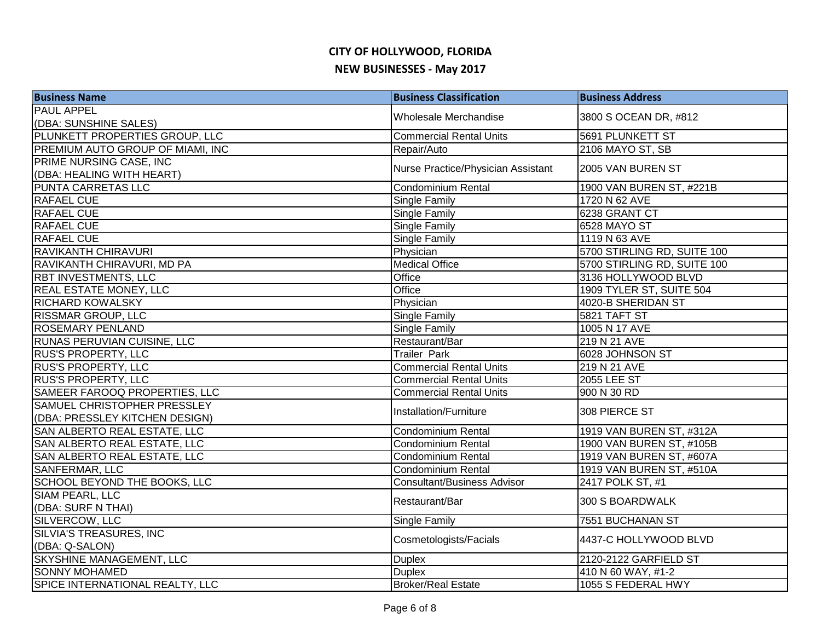| <b>Business Name</b>             | <b>Business Classification</b>     | <b>Business Address</b>     |
|----------------------------------|------------------------------------|-----------------------------|
| <b>PAUL APPEL</b>                | Wholesale Merchandise              | 3800 S OCEAN DR, #812       |
| (DBA: SUNSHINE SALES)            |                                    |                             |
| PLUNKETT PROPERTIES GROUP, LLC   | <b>Commercial Rental Units</b>     | <b>5691 PLUNKETT ST</b>     |
| PREMIUM AUTO GROUP OF MIAMI, INC | Repair/Auto                        | 2106 MAYO ST, SB            |
| PRIME NURSING CASE, INC          | Nurse Practice/Physician Assistant | 2005 VAN BUREN ST           |
| (DBA: HEALING WITH HEART)        |                                    |                             |
| PUNTA CARRETAS LLC               | Condominium Rental                 | 1900 VAN BUREN ST, #221B    |
| <b>RAFAEL CUE</b>                | <b>Single Family</b>               | 1720 N 62 AVE               |
| <b>RAFAEL CUE</b>                | Single Family                      | 6238 GRANT CT               |
| <b>RAFAEL CUE</b>                | <b>Single Family</b>               | 6528 MAYO ST                |
| <b>RAFAEL CUE</b>                | Single Family                      | 1119 N 63 AVE               |
| <b>RAVIKANTH CHIRAVURI</b>       | Physician                          | 5700 STIRLING RD, SUITE 100 |
| RAVIKANTH CHIRAVURI, MD PA       | <b>Medical Office</b>              | 5700 STIRLING RD, SUITE 100 |
| RBT INVESTMENTS, LLC             | Office                             | 3136 HOLLYWOOD BLVD         |
| <b>REAL ESTATE MONEY, LLC</b>    | Office                             | 1909 TYLER ST, SUITE 504    |
| <b>RICHARD KOWALSKY</b>          | Physician                          | 4020-B SHERIDAN ST          |
| <b>RISSMAR GROUP, LLC</b>        | Single Family                      | 5821 TAFT ST                |
| <b>ROSEMARY PENLAND</b>          | <b>Single Family</b>               | 1005 N 17 AVE               |
| RUNAS PERUVIAN CUISINE, LLC      | Restaurant/Bar                     | 219 N 21 AVE                |
| <b>RUS'S PROPERTY, LLC</b>       | <b>Trailer Park</b>                | 6028 JOHNSON ST             |
| <b>RUS'S PROPERTY, LLC</b>       | <b>Commercial Rental Units</b>     | 219 N 21 AVE                |
| <b>RUS'S PROPERTY, LLC</b>       | <b>Commercial Rental Units</b>     | 2055 LEE ST                 |
| SAMEER FAROOQ PROPERTIES, LLC    | <b>Commercial Rental Units</b>     | 900 N 30 RD                 |
| SAMUEL CHRISTOPHER PRESSLEY      | Installation/Furniture             | 308 PIERCE ST               |
| (DBA: PRESSLEY KITCHEN DESIGN)   |                                    |                             |
| SAN ALBERTO REAL ESTATE, LLC     | <b>Condominium Rental</b>          | 1919 VAN BUREN ST, #312A    |
| SAN ALBERTO REAL ESTATE, LLC     | Condominium Rental                 | 1900 VAN BUREN ST, #105B    |
| SAN ALBERTO REAL ESTATE, LLC     | Condominium Rental                 | 1919 VAN BUREN ST, #607A    |
| <b>SANFERMAR, LLC</b>            | Condominium Rental                 | 1919 VAN BUREN ST, #510A    |
| SCHOOL BEYOND THE BOOKS, LLC     | <b>Consultant/Business Advisor</b> | 2417 POLK ST, #1            |
| SIAM PEARL, LLC                  | Restaurant/Bar                     | 300 S BOARDWALK             |
| (DBA: SURF N THAI)               |                                    |                             |
| SILVERCOW, LLC                   | Single Family                      | 7551 BUCHANAN ST            |
| SILVIA'S TREASURES, INC          | Cosmetologists/Facials             | 4437-C HOLLYWOOD BLVD       |
| (DBA: Q-SALON)                   |                                    |                             |
| SKYSHINE MANAGEMENT, LLC         | <b>Duplex</b>                      | 2120-2122 GARFIELD ST       |
| <b>SONNY MOHAMED</b>             | <b>Duplex</b>                      | 410 N 60 WAY, #1-2          |
| SPICE INTERNATIONAL REALTY, LLC  | <b>Broker/Real Estate</b>          | 1055 S FEDERAL HWY          |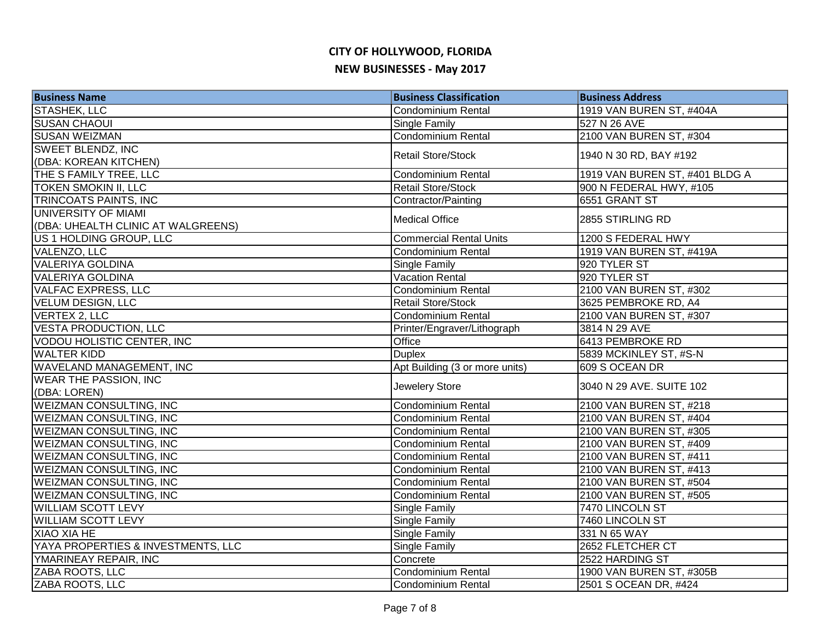| <b>Business Name</b>               | <b>Business Classification</b> | <b>Business Address</b>        |
|------------------------------------|--------------------------------|--------------------------------|
| <b>STASHEK, LLC</b>                | <b>Condominium Rental</b>      | 1919 VAN BUREN ST, #404A       |
| <b>SUSAN CHAOUI</b>                | <b>Single Family</b>           | 527 N 26 AVE                   |
| <b>SUSAN WEIZMAN</b>               | <b>Condominium Rental</b>      | 2100 VAN BUREN ST, #304        |
| <b>SWEET BLENDZ, INC</b>           | <b>Retail Store/Stock</b>      | 1940 N 30 RD, BAY #192         |
| (DBA: KOREAN KITCHEN)              |                                |                                |
| THE S FAMILY TREE, LLC             | <b>Condominium Rental</b>      | 1919 VAN BUREN ST, #401 BLDG A |
| <b>TOKEN SMOKIN II, LLC</b>        | Retail Store/Stock             | 900 N FEDERAL HWY, #105        |
| TRINCOATS PAINTS, INC              | Contractor/Painting            | 6551 GRANT ST                  |
| UNIVERSITY OF MIAMI                | <b>Medical Office</b>          | 2855 STIRLING RD               |
| (DBA: UHEALTH CLINIC AT WALGREENS) |                                |                                |
| US 1 HOLDING GROUP, LLC            | <b>Commercial Rental Units</b> | 1200 S FEDERAL HWY             |
| VALENZO, LLC                       | <b>Condominium Rental</b>      | 1919 VAN BUREN ST, #419A       |
| <b>VALERIYA GOLDINA</b>            | Single Family                  | 920 TYLER ST                   |
| <b>VALERIYA GOLDINA</b>            | Vacation Rental                | 920 TYLER ST                   |
| <b>VALFAC EXPRESS, LLC</b>         | Condominium Rental             | 2100 VAN BUREN ST, #302        |
| <b>VELUM DESIGN, LLC</b>           | Retail Store/Stock             | 3625 PEMBROKE RD, A4           |
| <b>VERTEX 2, LLC</b>               | Condominium Rental             | 2100 VAN BUREN ST, #307        |
| <b>VESTA PRODUCTION, LLC</b>       | Printer/Engraver/Lithograph    | 3814 N 29 AVE                  |
| VODOU HOLISTIC CENTER, INC         | Office                         | 6413 PEMBROKE RD               |
| <b>WALTER KIDD</b>                 | <b>Duplex</b>                  | 5839 MCKINLEY ST, #S-N         |
| <b>WAVELAND MANAGEMENT, INC</b>    | Apt Building (3 or more units) | 609 S OCEAN DR                 |
| <b>WEAR THE PASSION, INC</b>       | Jewelery Store                 | 3040 N 29 AVE. SUITE 102       |
| (DBA: LOREN)                       |                                |                                |
| <b>WEIZMAN CONSULTING, INC</b>     | Condominium Rental             | 2100 VAN BUREN ST, #218        |
| <b>WEIZMAN CONSULTING, INC</b>     | <b>Condominium Rental</b>      | 2100 VAN BUREN ST, #404        |
| <b>WEIZMAN CONSULTING, INC</b>     | Condominium Rental             | 2100 VAN BUREN ST, #305        |
| <b>WEIZMAN CONSULTING, INC</b>     | <b>Condominium Rental</b>      | 2100 VAN BUREN ST, #409        |
| <b>WEIZMAN CONSULTING, INC</b>     | Condominium Rental             | 2100 VAN BUREN ST, #411        |
| <b>WEIZMAN CONSULTING, INC</b>     | Condominium Rental             | 2100 VAN BUREN ST, #413        |
| <b>WEIZMAN CONSULTING, INC</b>     | <b>Condominium Rental</b>      | 2100 VAN BUREN ST, #504        |
| <b>WEIZMAN CONSULTING, INC</b>     | Condominium Rental             | 2100 VAN BUREN ST, #505        |
| <b>WILLIAM SCOTT LEVY</b>          | <b>Single Family</b>           | 7470 LINCOLN ST                |
| <b>WILLIAM SCOTT LEVY</b>          | Single Family                  | 7460 LINCOLN ST                |
| XIAO XIA HE                        | <b>Single Family</b>           | 331 N 65 WAY                   |
| YAYA PROPERTIES & INVESTMENTS, LLC | <b>Single Family</b>           | 2652 FLETCHER CT               |
| YMARINEAY REPAIR, INC              | Concrete                       | 2522 HARDING ST                |
| ZABA ROOTS, LLC                    | Condominium Rental             | 1900 VAN BUREN ST, #305B       |
| ZABA ROOTS, LLC                    | <b>Condominium Rental</b>      | 2501 S OCEAN DR, #424          |